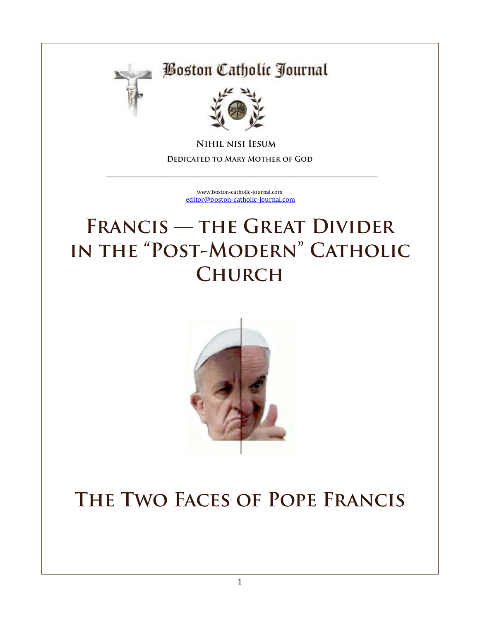

## **Boston Catholic Journal**



**NIHIL NISI IESUM** DEDICATED TO MARY MOTHER OF GOD

> [www.boston-catholic-journal.com](http://www.boston-catholic-journal.com/) [editor@boston-catholic-journal.com](mailto:editor@boston-catholic-journal.com)

\_\_\_\_\_\_\_\_\_\_\_\_\_\_\_\_\_\_\_\_\_\_\_\_\_\_\_\_\_\_\_\_\_\_\_\_\_\_\_\_\_\_\_\_\_\_\_\_\_\_\_\_\_\_\_\_\_\_\_\_\_\_\_

# **FRANCIS - THE GREAT DIVIDER** IN THE "POST-MODERN" CATHOLIC **CHURCH**



# THE TWO FACES OF POPE FRANCIS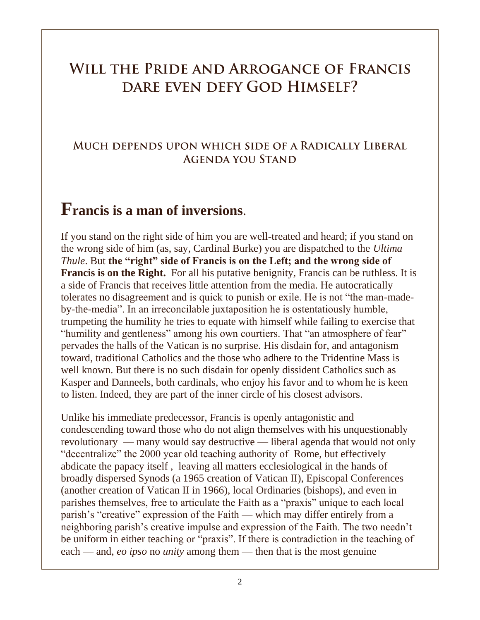### WILL THE PRIDE AND ARROGANCE OF FRANCIS DARE EVEN DEFY GOD HIMSELF?

#### MUCH DEPENDS UPON WHICH SIDE OF A RADICALLY LIBERAL **AGENDA YOU STAND**

### **Francis is a man of inversions**.

If you stand on the right side of him you are well-treated and heard; if you stand on the wrong side of him (as, say, Cardinal Burke) you are dispatched to the *Ultima Thule*. But **the "right" side of Francis is on the Left; and the wrong side of Francis is on the Right.** For all his putative benignity, Francis can be ruthless. It is a side of Francis that receives little attention from the media. He autocratically tolerates no disagreement and is quick to punish or exile. He is not "the man-madeby-the-media". In an irreconcilable juxtaposition he is ostentatiously humble, trumpeting the humility he tries to equate with himself while failing to exercise that "humility and gentleness" among his own courtiers. That "an atmosphere of fear" pervades the halls of the Vatican is no surprise. His disdain for, and antagonism toward, traditional Catholics and the those who adhere to the Tridentine Mass is well known. But there is no such disdain for openly dissident Catholics such as Kasper and Danneels, both cardinals, who enjoy his favor and to whom he is keen to listen. Indeed, they are part of the inner circle of his closest advisors.

Unlike his immediate predecessor, Francis is openly antagonistic and condescending toward those who do not align themselves with his unquestionably revolutionary — many would say destructive — liberal agenda that would not only "decentralize" the 2000 year old teaching authority of Rome, but effectively abdicate the papacy itself , leaving all matters ecclesiological in the hands of broadly dispersed Synods (a 1965 creation of Vatican II), Episcopal Conferences (another creation of Vatican II in 1966), local Ordinaries (bishops), and even in parishes themselves, free to articulate the Faith as a "praxis" unique to each local parish's "creative" expression of the Faith — which may differ entirely from a neighboring parish's creative impulse and expression of the Faith. The two needn't be uniform in either teaching or "praxis". If there is contradiction in the teaching of each — and, *eo ipso* no *unity* among them — then that is the most genuine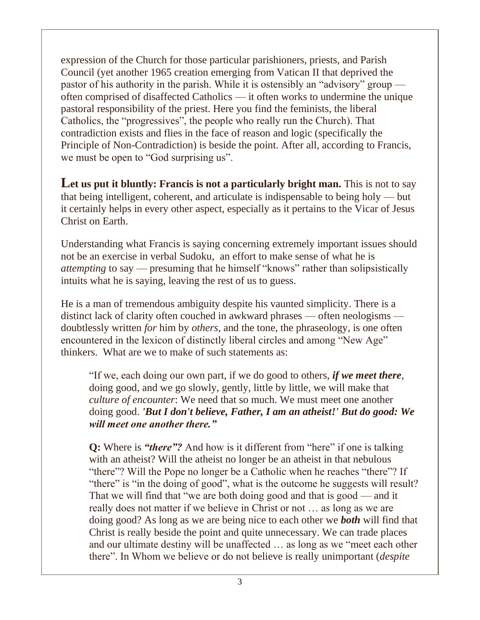expression of the Church for those particular parishioners, priests, and Parish Council (yet another 1965 creation emerging from Vatican II that deprived the pastor of his authority in the parish. While it is ostensibly an "advisory" group often comprised of disaffected Catholics — it often works to undermine the unique pastoral responsibility of the priest. Here you find the feminists, the liberal Catholics, the "progressives", the people who really run the Church). That contradiction exists and flies in the face of reason and logic (specifically the Principle of Non-Contradiction) is beside the point. After all, according to Francis, we must be open to "God surprising us".

Let us put it bluntly: Francis is not a particularly bright man. This is not to say that being intelligent, coherent, and articulate is indispensable to being holy — but it certainly helps in every other aspect, especially as it pertains to the Vicar of Jesus Christ on Earth.

Understanding what Francis is saying concerning extremely important issues should not be an exercise in verbal Sudoku, an effort to make sense of what he is *attempting* to say — presuming that he himself "knows" rather than solipsistically intuits what he is saying, leaving the rest of us to guess.

He is a man of tremendous ambiguity despite his vaunted simplicity. There is a distinct lack of clarity often couched in awkward phrases — often neologisms doubtlessly written *for* him by *others*, and the tone, the phraseology, is one often encountered in the lexicon of distinctly liberal circles and among "New Age" thinkers. What are we to make of such statements as:

"If we, each doing our own part, if we do good to others, *if we meet there*, doing good, and we go slowly, gently, little by little, we will make that *culture of encounter*: We need that so much. We must meet one another doing good. *'But I don't believe, Father, I am an atheist!' But do good: We will meet one another there."*

**Q:** Where is *"there"?* And how is it different from "here" if one is talking with an atheist? Will the atheist no longer be an atheist in that nebulous "there"? Will the Pope no longer be a Catholic when he reaches "there"? If "there" is "in the doing of good", what is the outcome he suggests will result? That we will find that "we are both doing good and that is good — and it really does not matter if we believe in Christ or not … as long as we are doing good? As long as we are being nice to each other we *both* will find that Christ is really beside the point and quite unnecessary. We can trade places and our ultimate destiny will be unaffected … as long as we "meet each other there". In Whom we believe or do not believe is really unimportant (*despite*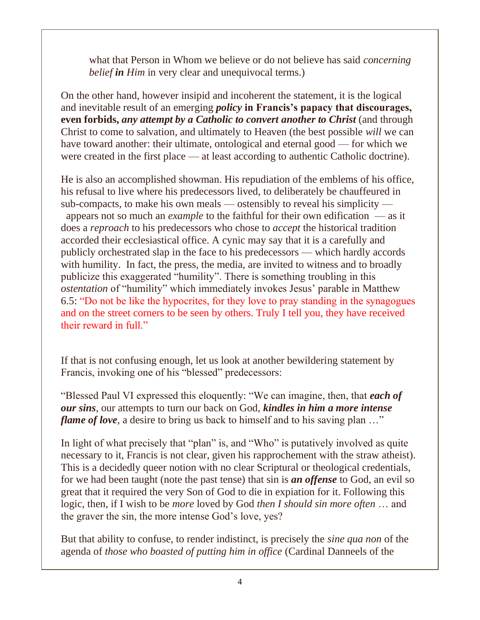what that Person in Whom we believe or do not believe has said *concerning belief in Him* in very clear and unequivocal terms.)

On the other hand, however insipid and incoherent the statement, it is the logical and inevitable result of an emerging *policy* **in Francis's papacy that discourages, even forbids,** *any attempt by a Catholic to convert another to Christ* (and through Christ to come to salvation, and ultimately to Heaven (the best possible *will* we can have toward another: their ultimate, ontological and eternal good — for which we were created in the first place — at least according to authentic Catholic doctrine).

He is also an accomplished showman. His repudiation of the emblems of his office, his refusal to live where his predecessors lived, to deliberately be chauffeured in sub-compacts, to make his own meals — ostensibly to reveal his simplicity —

appears not so much an *example* to the faithful for their own edification — as it does a *reproach* to his predecessors who chose to *accept* the historical tradition accorded their ecclesiastical office. A cynic may say that it is a carefully and publicly orchestrated slap in the face to his predecessors — which hardly accords with humility. In fact, the press, the media, are invited to witness and to broadly publicize this exaggerated "humility". There is something troubling in this *ostentation* of "humility" which immediately invokes Jesus' parable in Matthew 6.5: "Do not be like the hypocrites, for they love to pray standing in the synagogues and on the street corners to be seen by others. Truly I tell you, they have received their reward in full."

If that is not confusing enough, let us look at another bewildering statement by Francis, invoking one of his "blessed" predecessors:

"Blessed Paul VI expressed this eloquently: "We can imagine, then, that *each of our sins*, our attempts to turn our back on God, *kindles in him a more intense flame of love*, a desire to bring us back to himself and to his saving plan ..."

In light of what precisely that "plan" is, and "Who" is putatively involved as quite necessary to it, Francis is not clear, given his rapprochement with the straw atheist). This is a decidedly queer notion with no clear Scriptural or theological credentials, for we had been taught (note the past tense) that sin is *an offense* to God, an evil so great that it required the very Son of God to die in expiation for it. Following this logic, then, if I wish to be *more* loved by God *then I should sin more often* … and the graver the sin, the more intense God's love, yes?

But that ability to confuse, to render indistinct, is precisely the *sine qua non* of the agenda of *those who boasted of putting him in office* (Cardinal Danneels of the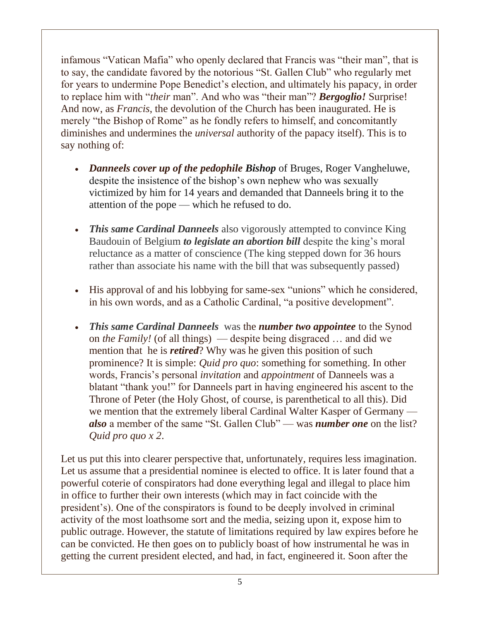infamous "Vatican Mafia" who openly declared that Francis was "their man", that is to say, the candidate favored by the notorious "St. Gallen Club" who regularly met for years to undermine Pope Benedict's election, and ultimately his papacy, in order to replace him with "*their* man". And who was "their man"? *Bergoglio!* Surprise! And now, as *Francis*, the devolution of the Church has been inaugurated. He is merely "the Bishop of Rome" as he fondly refers to himself, and concomitantly diminishes and undermines the *universal* authority of the papacy itself). This is to say nothing of:

- *Danneels cover up of the pedophile Bishop* of Bruges, Roger Vangheluwe, despite the insistence of the bishop's own nephew who was sexually victimized by him for 14 years and demanded that Danneels bring it to the attention of the pope — which he refused to do.
- *This same Cardinal Danneels* also vigorously attempted to convince King Baudouin of Belgium *to legislate an abortion bill* despite the king's moral reluctance as a matter of conscience (The king stepped down for 36 hours rather than associate his name with the bill that was subsequently passed)
- His approval of and his lobbying for same-sex "unions" which he considered, in his own words, and as a Catholic Cardinal, "a positive development".
- *This same Cardinal Danneels* was the *number two appointee* to the Synod on *the Family!* (of all things) — despite being disgraced … and did we mention that he is *retired*? Why was he given this position of such prominence? It is simple: *Quid pro quo*: something for something. In other words, Francis's personal *invitation* and *appointment* of Danneels was a blatant "thank you!" for Danneels part in having engineered his ascent to the Throne of Peter (the Holy Ghost, of course, is parenthetical to all this). Did we mention that the extremely liberal Cardinal Walter Kasper of Germany *also* a member of the same "St. Gallen Club" — was *number one* on the list? *Quid pro quo x 2*.

Let us put this into clearer perspective that, unfortunately, requires less imagination. Let us assume that a presidential nominee is elected to office. It is later found that a powerful coterie of conspirators had done everything legal and illegal to place him in office to further their own interests (which may in fact coincide with the president's). One of the conspirators is found to be deeply involved in criminal activity of the most loathsome sort and the media, seizing upon it, expose him to public outrage. However, the statute of limitations required by law expires before he can be convicted. He then goes on to publicly boast of how instrumental he was in getting the current president elected, and had, in fact, engineered it. Soon after the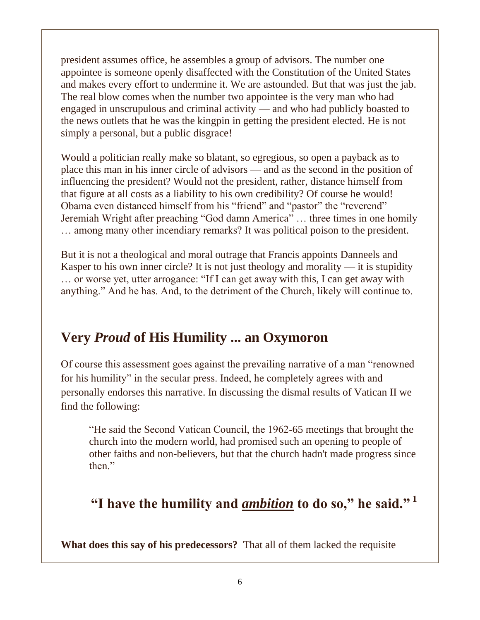president assumes office, he assembles a group of advisors. The number one appointee is someone openly disaffected with the Constitution of the United States and makes every effort to undermine it. We are astounded. But that was just the jab. The real blow comes when the number two appointee is the very man who had engaged in unscrupulous and criminal activity — and who had publicly boasted to the news outlets that he was the kingpin in getting the president elected. He is not simply a personal, but a public disgrace!

Would a politician really make so blatant, so egregious, so open a payback as to place this man in his inner circle of advisors — and as the second in the position of influencing the president? Would not the president, rather, distance himself from that figure at all costs as a liability to his own credibility? Of course he would! Obama even distanced himself from his "friend" and "pastor" the "reverend" Jeremiah Wright after preaching "God damn America" … three times in one homily … among many other incendiary remarks? It was political poison to the president.

But it is not a theological and moral outrage that Francis appoints Danneels and Kasper to his own inner circle? It is not just theology and morality — it is stupidity … or worse yet, utter arrogance: "If I can get away with this, I can get away with anything." And he has. And, to the detriment of the Church, likely will continue to.

#### **Very** *Proud* **of His Humility ... an Oxymoron**

Of course this assessment goes against the prevailing narrative of a man "renowned for his humility" in the secular press. Indeed, he completely agrees with and personally endorses this narrative. In discussing the dismal results of Vatican II we find the following:

"He said the Second Vatican Council, the 1962-65 meetings that brought the church into the modern world, had promised such an opening to people of other faiths and non-believers, but that the church hadn't made progress since then."

### **"I have the humility and** *ambition* **to do so," he said." <sup>1</sup>**

**What does this say of his predecessors?** That all of them lacked the requisite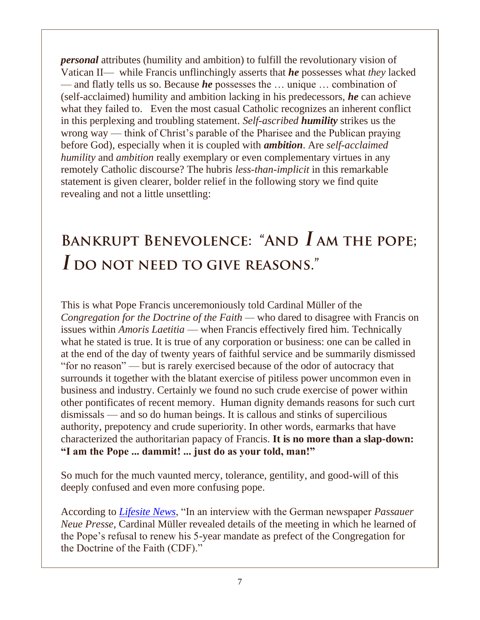*personal* attributes (humility and ambition) to fulfill the revolutionary vision of Vatican II— while Francis unflinchingly asserts that *he* possesses what *they* lacked — and flatly tells us so. Because *he* possesses the … unique … combination of (self-acclaimed) humility and ambition lacking in his predecessors, *he* can achieve what they failed to. Even the most casual Catholic recognizes an inherent conflict in this perplexing and troubling statement. *Self-ascribed humility* strikes us the wrong way — think of Christ's parable of the Pharisee and the Publican praying before God), especially when it is coupled with *ambition*. Are *self-acclaimed humility* and *ambition* really exemplary or even complementary virtues in any remotely Catholic discourse? The hubris *less-than-implicit* in this remarkable statement is given clearer, bolder relief in the following story we find quite revealing and not a little unsettling:

# BANKRUPT BENEVOLENCE: "AND  $I$  am the pope; I DO NOT NEED TO GIVE REASONS."

This is what Pope Francis unceremoniously told Cardinal Müller of the *Congregation for the Doctrine of the Faith —* who dared to disagree with Francis on issues within *Amoris Laetitia* — when Francis effectively fired him. Technically what he stated is true. It is true of any corporation or business: one can be called in at the end of the day of twenty years of faithful service and be summarily dismissed "for no reason" — but is rarely exercised because of the odor of autocracy that surrounds it together with the blatant exercise of pitiless power uncommon even in business and industry. Certainly we found no such crude exercise of power within other pontificates of recent memory. Human dignity demands reasons for such curt dismissals — and so do human beings. It is callous and stinks of supercilious authority, prepotency and crude superiority. In other words, earmarks that have characterized the authoritarian papacy of Francis. **It is no more than a slap-down: "I am the Pope ... dammit! ... just do as your told, man!"**

So much for the much vaunted mercy, tolerance, gentility, and good-will of this deeply confused and even more confusing pope.

According to *[Lifesite News](https://www.lifesitenews.com/news/former-vatican-doctrine-chief-criticizes-how-pope-dismissed-him-i-cannot-ac)*, "In an interview with the German newspaper *Passauer Neue Presse*, Cardinal Müller revealed details of the meeting in which he learned of the Pope's refusal to renew his 5-year mandate as prefect of the Congregation for the Doctrine of the Faith (CDF)."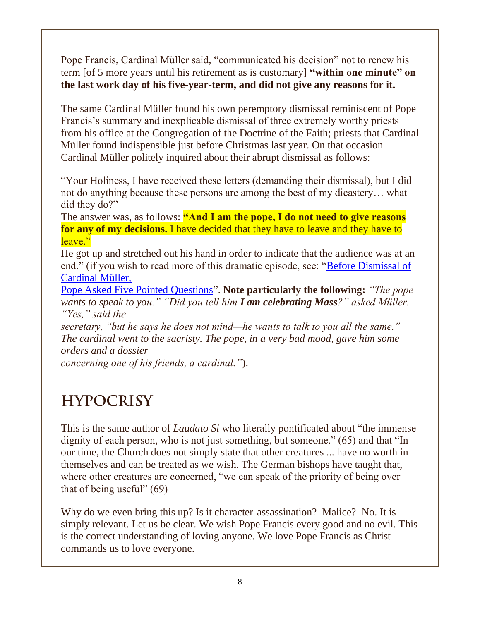Pope Francis, Cardinal Müller said, "communicated his decision" not to renew his term [of 5 more years until his retirement as is customary] **"within one minute" on the last work day of his five-year-term, and did not give any reasons for it.**

The same Cardinal Müller found his own peremptory dismissal reminiscent of Pope Francis's summary and inexplicable dismissal of three extremely worthy priests from his office at the Congregation of the Doctrine of the Faith; priests that Cardinal Müller found indispensible just before Christmas last year. On that occasion Cardinal Müller politely inquired about their abrupt dismissal as follows:

"Your Holiness, I have received these letters (demanding their dismissal), but I did not do anything because these persons are among the best of my dicastery… what did they do?"

The answer was, as follows: **"And I am the pope, I do not need to give reasons for any of my decisions.** I have decided that they have to leave and they have to leave."

He got up and stretched out his hand in order to indicate that the audience was at an end." (if you wish to read more of this dramatic episode, see: ["Before Dismissal of](https://onepeterfive.com/source-before-dismissal-of-cardinal-muller-pope-asked-five-pointed-questions/)  [Cardinal Müller,](https://onepeterfive.com/source-before-dismissal-of-cardinal-muller-pope-asked-five-pointed-questions/) 

[Pope Asked Five Pointed Questions"](https://onepeterfive.com/source-before-dismissal-of-cardinal-muller-pope-asked-five-pointed-questions/). **Note particularly the following:** *"The pope wants to speak to you." "Did you tell him I am celebrating Mass?" asked Müller. "Yes," said the* 

*secretary, "but he says he does not mind—he wants to talk to you all the same." The cardinal went to the sacristy. The pope, in a very bad mood, gave him some orders and a dossier*

*concerning one of his friends, a cardinal."*).

# **HYPOCRISY**

This is the same author of *Laudato Si* who literally pontificated about "the immense dignity of each person, who is not just something, but someone." (65) and that "In our time, the Church does not simply state that other creatures ... have no worth in themselves and can be treated as we wish. The German bishops have taught that, where other creatures are concerned, "we can speak of the priority of being over that of being useful"  $(69)$ 

Why do we even bring this up? Is it character-assassination? Malice? No. It is simply relevant. Let us be clear. We wish Pope Francis every good and no evil. This is the correct understanding of loving anyone. We love Pope Francis as Christ commands us to love everyone.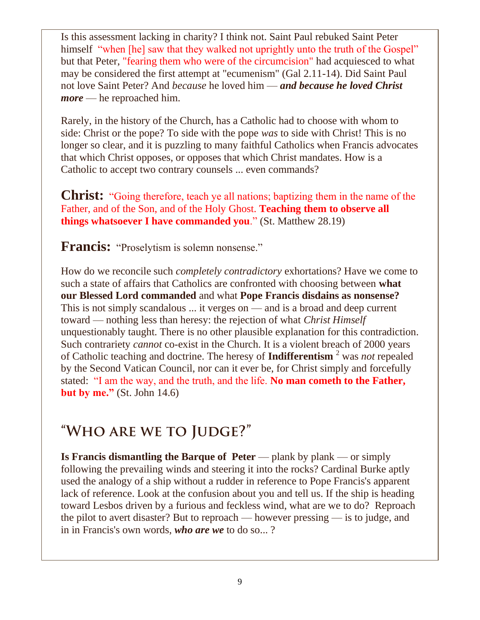Is this assessment lacking in charity? I think not. Saint Paul rebuked Saint Peter himself "when [he] saw that they walked not uprightly unto the truth of the Gospel" but that Peter, "fearing them who were of the circumcision" had acquiesced to what may be considered the first attempt at "ecumenism" (Gal 2.11-14). Did Saint Paul not love Saint Peter? And *because* he loved him — *and because he loved Christ more* — he reproached him.

Rarely, in the history of the Church, has a Catholic had to choose with whom to side: Christ or the pope? To side with the pope *was* to side with Christ! This is no longer so clear, and it is puzzling to many faithful Catholics when Francis advocates that which Christ opposes, or opposes that which Christ mandates. How is a Catholic to accept two contrary counsels ... even commands?

**Christ:** "Going therefore, teach ye all nations; baptizing them in the name of the Father, and of the Son, and of the Holy Ghost. **Teaching them to observe all things whatsoever I have commanded you**." (St. Matthew 28.19)

**Francis:** "Proselytism is solemn nonsense."

How do we reconcile such *completely contradictory* exhortations? Have we come to such a state of affairs that Catholics are confronted with choosing between **what our Blessed Lord commanded** and what **Pope Francis disdains as nonsense?** This is not simply scandalous ... it verges on — and is a broad and deep current toward — nothing less than heresy: the rejection of what *Christ Himself* unquestionably taught. There is no other plausible explanation for this contradiction. Such contrariety *cannot* co-exist in the Church. It is a violent breach of 2000 years of Catholic teaching and doctrine. The heresy of **Indifferentism** <sup>2</sup> was *not* repealed by the Second Vatican Council, nor can it ever be, for Christ simply and forcefully stated: "I am the way, and the truth, and the life. **No man cometh to the Father, but by me."** (St. John 14.6)

# "WHO ARE WE TO JUDGE?"

**Is Francis dismantling the Barque of Peter** — plank by plank — or simply following the prevailing winds and steering it into the rocks? Cardinal Burke aptly used the analogy of a ship without a rudder in reference to Pope Francis's apparent lack of reference. Look at the confusion about you and tell us. If the ship is heading toward Lesbos driven by a furious and feckless wind, what are we to do? Reproach the pilot to avert disaster? But to reproach — however pressing — is to judge, and in in Francis's own words, *who are we* to do so... ?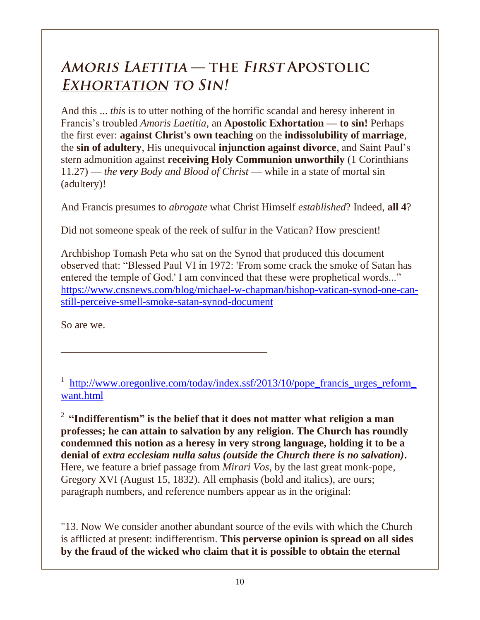## AMORIS LAETITIA — THE FIRST APOSTOLIC **EXHORTATION TO SIN!**

And this ... *this* is to utter nothing of the horrific scandal and heresy inherent in Francis's troubled *Amoris Laetitia*, an **Apostolic Exhortation — to sin!** Perhaps the first ever: **against Christ's own teaching** on the **indissolubility of marriage**, the **sin of adultery**, His unequivocal **injunction against divorce**, and Saint Paul's stern admonition against **receiving Holy Communion unworthily** (1 Corinthians 11.27) — *the very Body and Blood of Christ* — while in a state of mortal sin (adultery)!

And Francis presumes to *abrogate* what Christ Himself *established*? Indeed, **all 4**?

Did not someone speak of the reek of sulfur in the Vatican? How prescient!

Archbishop Tomash Peta who sat on the Synod that produced this document observed that: "Blessed Paul VI in 1972: 'From some crack the smoke of Satan has entered the temple of God.' I am convinced that these were prophetical words..." [https://www.cnsnews.com/blog/michael-w-chapman/bishop-vatican-synod-one-can](https://www.cnsnews.com/blog/michael-w-chapman/bishop-vatican-synod-one-can-still-perceive-smell-smoke-satan-synod-document)[still-perceive-smell-smoke-satan-synod-document](https://www.cnsnews.com/blog/michael-w-chapman/bishop-vatican-synod-one-can-still-perceive-smell-smoke-satan-synod-document)

So are we.

<sup>1</sup> [http://www.oregonlive.com/today/index.ssf/2013/10/pope\\_francis\\_urges\\_reform\\_](http://www.oregonlive.com/today/index.ssf/2013/10/pope_francis_urges_reform_want.html) [want.html](http://www.oregonlive.com/today/index.ssf/2013/10/pope_francis_urges_reform_want.html)

\_\_\_\_\_\_\_\_\_\_\_\_\_\_\_\_\_\_\_\_\_\_\_\_\_\_\_\_\_\_\_\_\_\_\_\_\_\_\_

<sup>2</sup>**"Indifferentism" is the belief that it does not matter what religion a man professes; he can attain to salvation by any religion. The Church has roundly condemned this notion as a heresy in very strong language, holding it to be a denial of** *extra ecclesiam nulla salus (outside the Church there is no salvation)***.** Here, we feature a brief passage from *Mirari Vos*, by the last great monk-pope, Gregory XVI (August 15, 1832). All emphasis (bold and italics), are ours; paragraph numbers, and reference numbers appear as in the original:

"13. Now We consider another abundant source of the evils with which the Church is afflicted at present: indifferentism. **This perverse opinion is spread on all sides by the fraud of the wicked who claim that it is possible to obtain the eternal**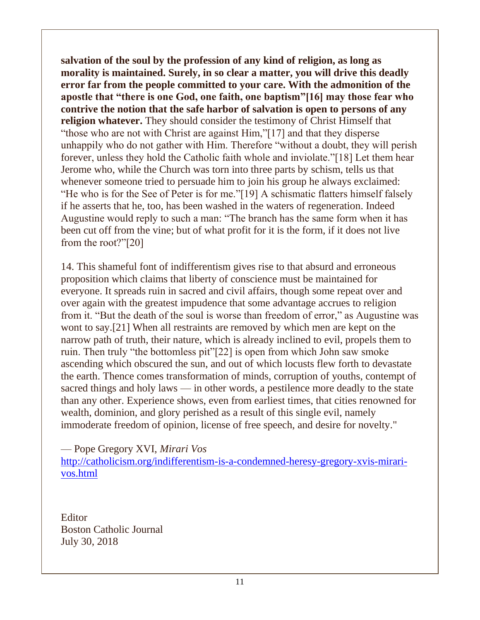**salvation of the soul by the profession of any kind of religion, as long as morality is maintained. Surely, in so clear a matter, you will drive this deadly error far from the people committed to your care. With the admonition of the apostle that "there is one God, one faith, one baptism"[16] may those fear who contrive the notion that the safe harbor of salvation is open to persons of any religion whatever.** They should consider the testimony of Christ Himself that "those who are not with Christ are against Him,"[17] and that they disperse unhappily who do not gather with Him. Therefore "without a doubt, they will perish forever, unless they hold the Catholic faith whole and inviolate."[18] Let them hear Jerome who, while the Church was torn into three parts by schism, tells us that whenever someone tried to persuade him to join his group he always exclaimed: "He who is for the See of Peter is for me."[19] A schismatic flatters himself falsely if he asserts that he, too, has been washed in the waters of regeneration. Indeed Augustine would reply to such a man: "The branch has the same form when it has been cut off from the vine; but of what profit for it is the form, if it does not live from the root?"[20]

14. This shameful font of indifferentism gives rise to that absurd and erroneous proposition which claims that liberty of conscience must be maintained for everyone. It spreads ruin in sacred and civil affairs, though some repeat over and over again with the greatest impudence that some advantage accrues to religion from it. "But the death of the soul is worse than freedom of error," as Augustine was wont to say.[21] When all restraints are removed by which men are kept on the narrow path of truth, their nature, which is already inclined to evil, propels them to ruin. Then truly "the bottomless pit"[22] is open from which John saw smoke ascending which obscured the sun, and out of which locusts flew forth to devastate the earth. Thence comes transformation of minds, corruption of youths, contempt of sacred things and holy laws — in other words, a pestilence more deadly to the state than any other. Experience shows, even from earliest times, that cities renowned for wealth, dominion, and glory perished as a result of this single evil, namely immoderate freedom of opinion, license of free speech, and desire for novelty."

— Pope Gregory XVI, *Mirari Vos*

[http://catholicism.org/indifferentism-is-a-condemned-heresy-gregory-xvis-mirari](http://catholicism.org/indifferentism-is-a-condemned-heresy-gregory-xvis-mirari-vos.html)[vos.html](http://catholicism.org/indifferentism-is-a-condemned-heresy-gregory-xvis-mirari-vos.html)

Editor Boston Catholic Journal July 30, 2018